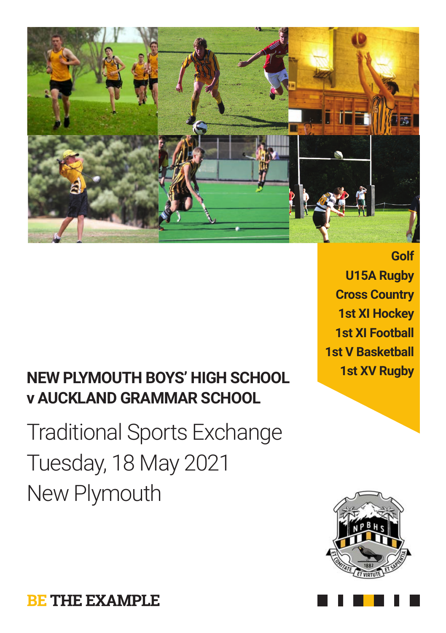

## **1st XV Rugby NEW PLYMOUTH BOYS' HIGH SCHOOL v AUCKLAND GRAMMAR SCHOOL**

Traditional Sports Exchange Tuesday, 18 May 2021 New Plymouth

**Golf U15A Rugby Cross Country 1st XI Hockey 1st XI Football 1st V Basketball**



**BE THE EXAMPLE**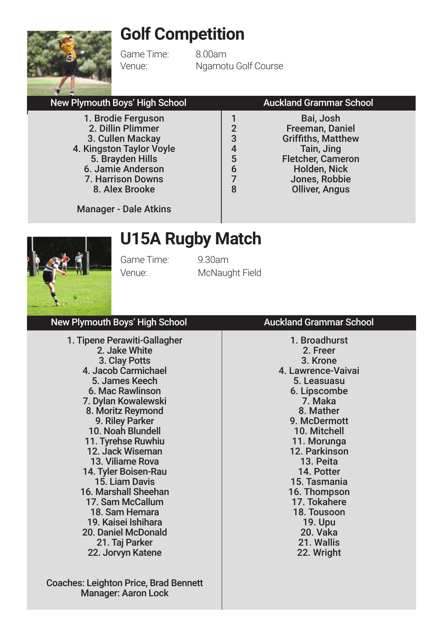## **Golf Competition**



Game Time: 8.00am

Venue: Ngamotu Golf Course

### New Plymouth Boys' High School **Auckland Grammar School**

1. Brodie Ferguson 2. Dillin Plimmer 3. Cullen Mackay 4. Kingston Taylor Voyle 5. Brayden Hills 6. Jamie Anderson 7. Harrison Downs 8. Alex Brooke

1 Bai, Josh<br>2 Bai, Josh 2 Freeman, Daniel<br>3 Griffiths, Matthew 3 Griffiths, Matthew<br>4 Tain, Jing 4 Tain, Jing<br>5 Fletcher Came 5 Fletcher, Cameron<br>6 Holden Nick 6 Holden, Nick 7 Jones, Robbie<br>8 Olliver Angus **Olliver, Angus** 

Manager - Dale Atkins

## **U15A Rugby Match**



Game Time: 9.30am Venue: McNaught Field

### 1. Tipene Perawiti-Gallagher 2. Jake White 3. Clay Potts 4. Jacob Carmichael 5. James Keech 6. Mac Rawlinson 7. Dylan Kowalewski 8. Moritz Reymond 9. Riley Parker 10. Noah Blundell

11. Tyrehse Ruwhiu 12. Jack Wiseman 13. Viliame Rova 14. Tyler Boisen-Rau 15. Liam Davis 16. Marshall Sheehan 17. Sam McCallum 18. Sam Hemara 19. Kaisei Ishihara 20. Daniel McDonald 21. Taj Parker 22. Jorvyn Katene

Coaches: Leighton Price, Brad Bennett Manager: Aaron Lock

### New Plymouth Boys' High School **Auckland Grammar School**

1. Broadhurst 2. Freer 3. Krone 4. Lawrence-Vaivai 5. Leasuasu 6. Lipscombe 7. Maka 8. Mather 9. McDermott 10. Mitchell 11. Morunga 12. Parkinson 13. Peita 14. Potter 15. Tasmania 16. Thompson 17. Tokahere 18. Tousoon 19. Upu 20. Vaka 21. Wallis 22. Wright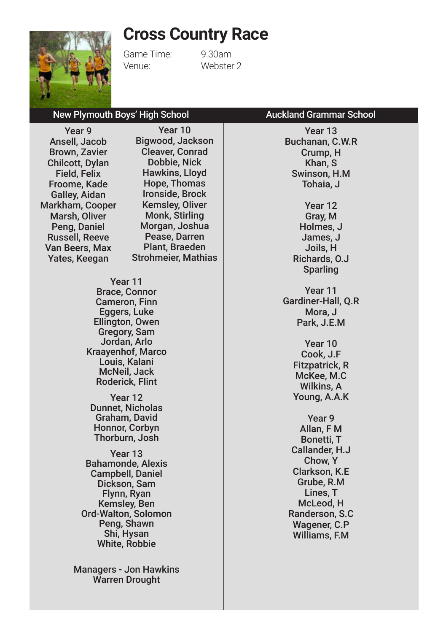### **Cross Country Race**

Year 10 Bigwood, Jackson Cleaver, Conrad Dobbie, Nick Hawkins, Lloyd Hope, Thomas



Game Time: 9.30am Venue: Webster 2

### New Plymouth Boys' High School **Auckland Grammar School**

Year 9 Ansell, Jacob Brown, Zavier Chilcott, Dylan Field, Felix Froome, Kade Galley, Aidan Markham, Cooper Marsh, Oliver Peng, Daniel Russell, Reeve Van Beers, Max Yates, Keegan

Year 11 Brace, Connor Cameron, Finn Eggers, Luke Ellington, Owen Gregory, Sam Jordan, Arlo Kraayenhof, Marco Louis, Kalani McNeil, Jack Roderick, Flint Year 12 Ironside, Brock Kemsley, Oliver Monk, Stirling Morgan, Joshua Pease, Darren Plant, Braeden Strohmeier, Mathias

Dunnet, Nicholas Graham, David Honnor, Corbyn Thorburn, Josh

Year 13 Bahamonde, Alexis Campbell, Daniel Dickson, Sam Flynn, Ryan Kemsley, Ben Ord-Walton, Solomon Peng, Shawn Shi, Hysan White, Robbie

Managers - Jon Hawkins Warren Drought

Year 13 Buchanan, C.W.R Crump, H Khan, S Swinson, H.M Tohaia, J Year 12 Gray, M Holmes, J

James, J Joils, H Richards, O.J Sparling

Year 11 Gardiner-Hall, Q.R Mora, J Park, J.E.M

> Year 10 Cook, J.F Fitzpatrick, R McKee, M.C Wilkins, A Young, A.A.K

Year 9 Allan, F M Bonetti, T Callander, H.J Chow, Y Clarkson, K.E Grube, R.M Lines, T McLeod, H Randerson, S.C Wagener, C.P Williams, F.M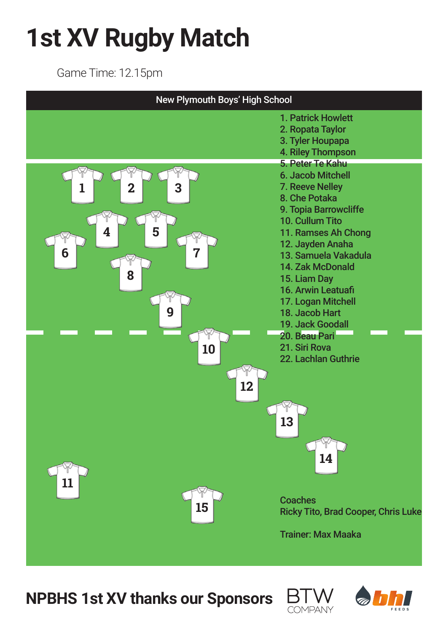# **1st XV Rugby Match**

Game Time: 12.15pm



**NPBHS 1st XV thanks our Sponsors** 



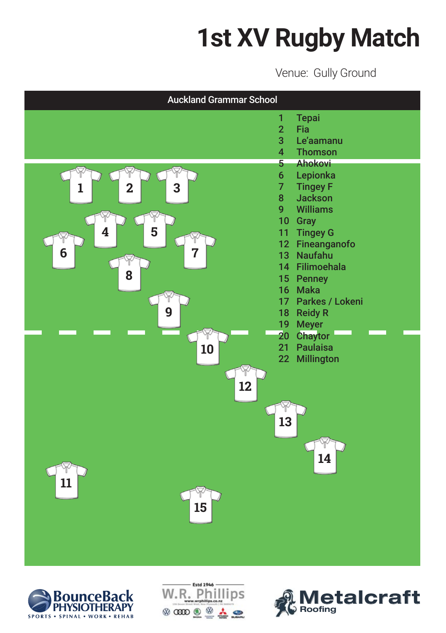# **1st XV Rugby Match**

Venue: Gully Ground







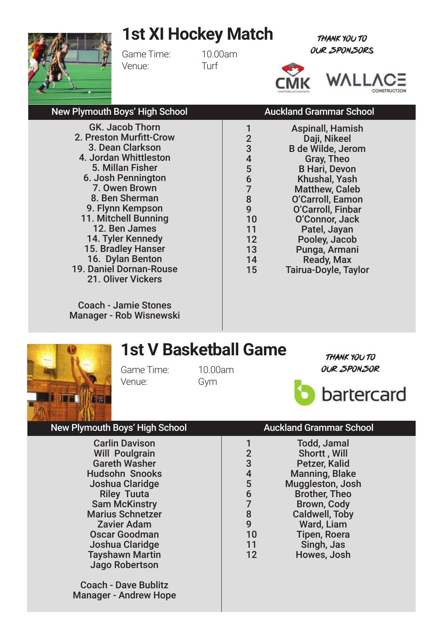## **1st XI Hockey Match**



Game Time: 10.00am Venue: Turf

THANK YOU TO OUR SPONSORs



### New Plymouth Boys' High School **Auckland Grammar School**

GK. Jacob Thorn 2. Preston Murfitt-Crow 3. Dean Clarkson 4. Jordan Whittleston 5. Millan Fisher 6. Josh Pennington 7. Owen Brown 8. Ben Sherman 9. Flynn Kempson 11. Mitchell Bunning 12. Ben James 14. Tyler Kennedy 15. Bradley Hanser 16. Dylan Benton 19. Daniel Dornan-Rouse 21. Oliver Vickers

Coach - Jamie Stones Manager - Rob Wisnewski

| $\overline{2}$ | Daji, Nikeel          |
|----------------|-----------------------|
| 3              | B de Wilde, Jerom     |
| 4              | Gray, Theo            |
| 5              | <b>B Hari, Devon</b>  |
| 6              | Khushal, Yash         |
| 7              | <b>Matthew, Caleb</b> |
| 8              | O'Carroll, Eamon      |
| 9              | O'Carroll, Finbar     |
| 10             | O'Connor, Jack        |
| 11             | Patel, Jayan          |
| 12             | Pooley, Jacob         |
| 13             | Punga, Armani         |
| 14             | Ready, Max            |
| 15             | Tairua-Doyle, Taylor  |
|                |                       |

1 **Aspinall Hamish** 

**1st V Basketball Game**

Game Time: 10.00am Venue: Gym

THANK YOU TO OUR SPONSOR



### New Plymouth Boys' High School Auckland Grammar School

Carlin Davison Will Poulgrain Gareth Washer Hudsohn Snooks Joshua Claridge Riley Tuuta Sam McKinstry Marius Schnetzer Zavier Adam Oscar Goodman Joshua Claridge Tayshawn Martin Jago Robertson

Coach - Dave Bublitz Manager - Andrew Hope

| 1              | Todd, Jamal           |
|----------------|-----------------------|
| $\overline{2}$ | Shortt, Will          |
| 3              | Petzer, Kalid         |
| 4              | <b>Manning, Blake</b> |
| 5              | Muggleston, Josh      |
| 6              | <b>Brother, Theo</b>  |
| 7              | Brown, Cody           |
| 8              | Caldwell, Toby        |
| 9              | Ward, Liam            |
| 10             | <b>Tipen, Roera</b>   |
| 11             | Singh, Jas            |
| 12             | Howes, Josh           |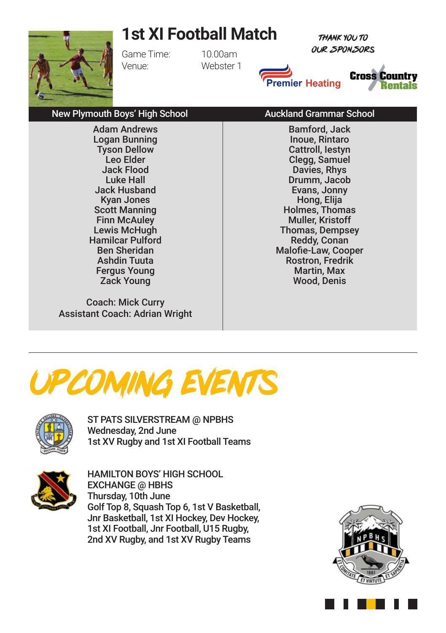## **1st XI Football Match**

THANK YOU TO OUR SPONSORs



Game Time: 10.00am Venue: Webster 1

Adam Andrews Logan Bunning Tyson Dellow Leo Elder Jack Flood Luke Hall Jack Husband Kyan Jones Scott Manning Finn McAuley Lewis McHugh Hamilcar Pulford Ben Sheridan Ashdin Tuuta Fergus Young Zack Young





### New Plymouth Boys' High School **Auckland Grammar School** Bamford, Jack

Coach: Mick Curry Assistant Coach: Adrian Wright

Inoue, Rintaro Cattroll, Iestyn Clegg, Samuel Davies, Rhys Drumm, Jacob Evans, Jonny Hong, Elija Holmes, Thomas Muller, Kristoff Thomas, Dempsey Reddy, Conan Malofie-Law, Cooper Rostron, Fredrik Martin, Max Wood, Denis

# Upcoming Events



ST PATS SILVERSTREAM @ NPBHS Wednesday, 2nd June 1st XV Rugby and 1st XI Football Teams



HAMILTON BOYS' HIGH SCHOOL EXCHANGE @ HBHS Thursday, 10th June Golf Top 8, Squash Top 6, 1st V Basketball, Jnr Basketball, 1st XI Hockey, Dev Hockey, 1st XI Football, Jnr Football, U15 Rugby, 2nd XV Rugby, and 1st XV Rugby Teams